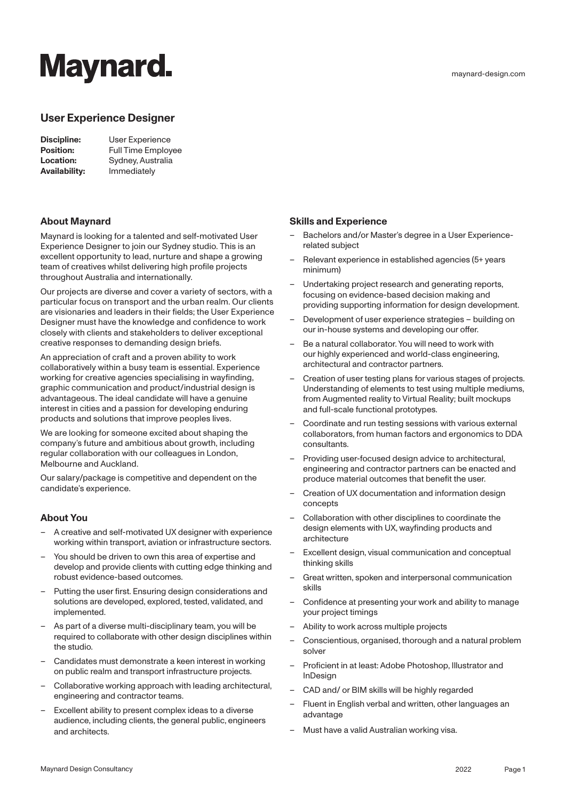# **Maynard.**

## **User Experience Designer**

| Discipline:          | User Experience           |
|----------------------|---------------------------|
| <b>Position:</b>     | <b>Full Time Employee</b> |
| Location:            | Sydney, Australia         |
| <b>Availability:</b> | Immediately               |

### **About Maynard**

Maynard is looking for a talented and self-motivated User Experience Designer to join our Sydney studio. This is an excellent opportunity to lead, nurture and shape a growing team of creatives whilst delivering high profile projects throughout Australia and internationally.

Our projects are diverse and cover a variety of sectors, with a particular focus on transport and the urban realm. Our clients are visionaries and leaders in their fields; the User Experience Designer must have the knowledge and confidence to work closely with clients and stakeholders to deliver exceptional creative responses to demanding design briefs.

An appreciation of craft and a proven ability to work collaboratively within a busy team is essential. Experience working for creative agencies specialising in wayfinding, graphic communication and product/industrial design is advantageous. The ideal candidate will have a genuine interest in cities and a passion for developing enduring products and solutions that improve peoples lives.

We are looking for someone excited about shaping the company's future and ambitious about growth, including regular collaboration with our colleagues in London, Melbourne and Auckland.

Our salary/package is competitive and dependent on the candidate's experience.

### **About You**

- A creative and self-motivated UX designer with experience working within transport, aviation or infrastructure sectors.
- You should be driven to own this area of expertise and develop and provide clients with cutting edge thinking and robust evidence-based outcomes.
- Putting the user first. Ensuring design considerations and solutions are developed, explored, tested, validated, and implemented.
- As part of a diverse multi-disciplinary team, you will be required to collaborate with other design disciplines within the studio.
- Candidates must demonstrate a keen interest in working on public realm and transport infrastructure projects.
- Collaborative working approach with leading architectural, engineering and contractor teams.
- Excellent ability to present complex ideas to a diverse audience, including clients, the general public, engineers and architects.

## **Skills and Experience**

- Bachelors and/or Master's degree in a User Experiencerelated subject
- Relevant experience in established agencies (5+ years minimum)
- Undertaking project research and generating reports, focusing on evidence-based decision making and providing supporting information for design development.
- Development of user experience strategies building on our in-house systems and developing our offer.
- Be a natural collaborator. You will need to work with our highly experienced and world-class engineering, architectural and contractor partners.
- Creation of user testing plans for various stages of projects. Understanding of elements to test using multiple mediums, from Augmented reality to Virtual Reality; built mockups and full-scale functional prototypes.
- Coordinate and run testing sessions with various external collaborators, from human factors and ergonomics to DDA consultants.
- Providing user-focused design advice to architectural, engineering and contractor partners can be enacted and produce material outcomes that benefit the user.
- Creation of UX documentation and information design concepts
- Collaboration with other disciplines to coordinate the design elements with UX, wayfinding products and architecture
- Excellent design, visual communication and conceptual thinking skills
- Great written, spoken and interpersonal communication skills
- Confidence at presenting your work and ability to manage your project timings
- Ability to work across multiple projects
- Conscientious, organised, thorough and a natural problem solver
- Proficient in at least: Adobe Photoshop, Illustrator and **InDesign**
- CAD and/ or BIM skills will be highly regarded
- Fluent in English verbal and written, other languages an advantage
- Must have a valid Australian working visa.